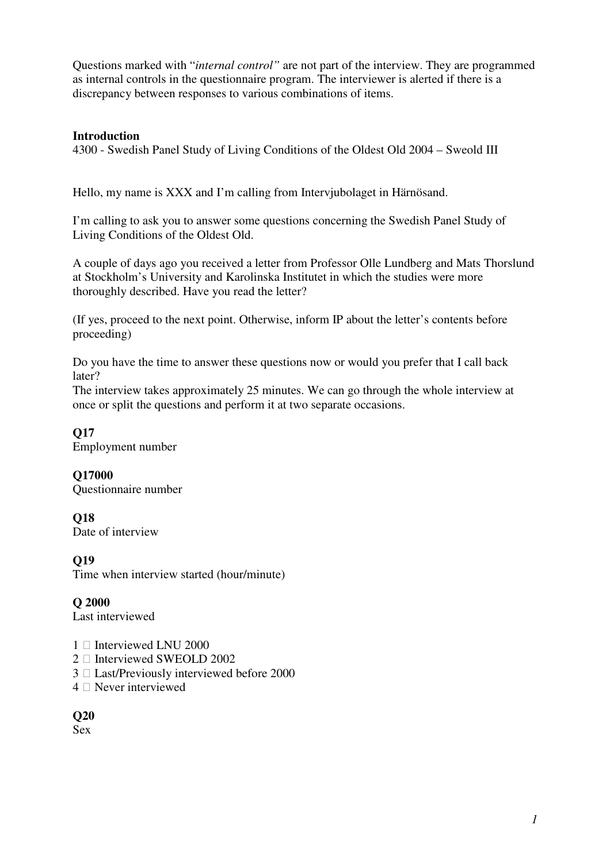Questions marked with "*internal control"* are not part of the interview. They are programmed as internal controls in the questionnaire program. The interviewer is alerted if there is a discrepancy between responses to various combinations of items.

#### **Introduction**

4300 - Swedish Panel Study of Living Conditions of the Oldest Old 2004 – Sweold III

Hello, my name is XXX and I'm calling from Intervjubolaget in Härnösand.

I'm calling to ask you to answer some questions concerning the Swedish Panel Study of Living Conditions of the Oldest Old.

A couple of days ago you received a letter from Professor Olle Lundberg and Mats Thorslund at Stockholm's University and Karolinska Institutet in which the studies were more thoroughly described. Have you read the letter?

(If yes, proceed to the next point. Otherwise, inform IP about the letter's contents before proceeding)

Do you have the time to answer these questions now or would you prefer that I call back later?

The interview takes approximately 25 minutes. We can go through the whole interview at once or split the questions and perform it at two separate occasions.

**Q17**  Employment number

**Q17000**  Questionnaire number

**Q18**  Date of interview

**Q19** 

Time when interview started (hour/minute)

**Q 2000** 

Last interviewed

- 1 Interviewed LNU 2000
- 2 Interviewed SWEOLD 2002
- 3 Last/Previously interviewed before 2000
- 4 Never interviewed

**Q20** 

Sex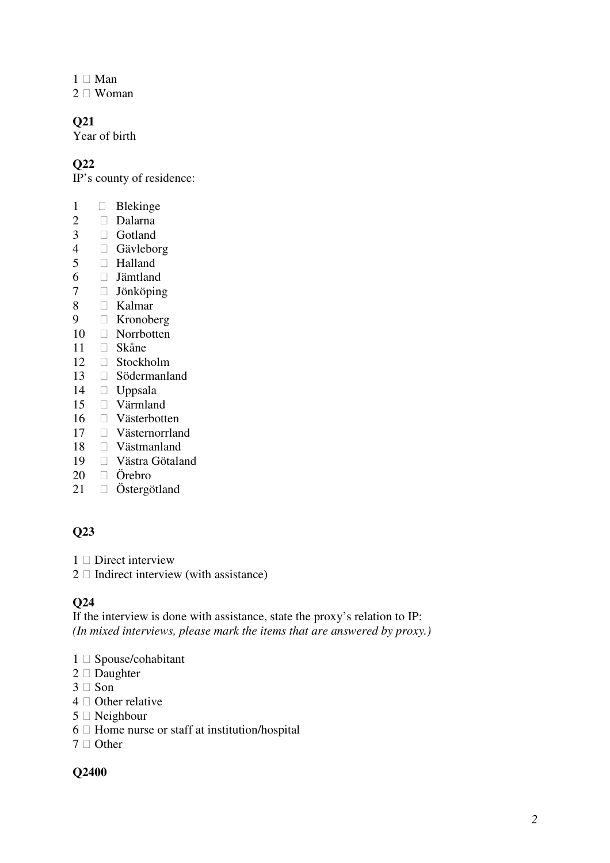- Man
- Woman

Year of birth

### **Q22**

IP's county of residence:

- 1 Blekinge<br>2 Dalarna
- Dalarna
- Gotland
- Gävleborg
- Halland
- Jämtland
- Jönköping
- Kalmar
- Kronoberg
- Norrbotten
- Skåne
- Stockholm
- Södermanland
- Uppsala
- Värmland
- Västerbotten
- Västernorrland
- Västmanland
- Västra Götaland
- Örebro
- Östergötland

### **Q23**

- Direct interview
- Indirect interview (with assistance)

#### **Q24**

If the interview is done with assistance, state the proxy's relation to IP: *(In mixed interviews, please mark the items that are answered by proxy.)* 

- 1 Spouse/cohabitant<br>2 Daughter
- **Daughter**
- Son
- Other relative
- Neighbour
- Home nurse or staff at institution/hospital
- Other

#### **Q2400**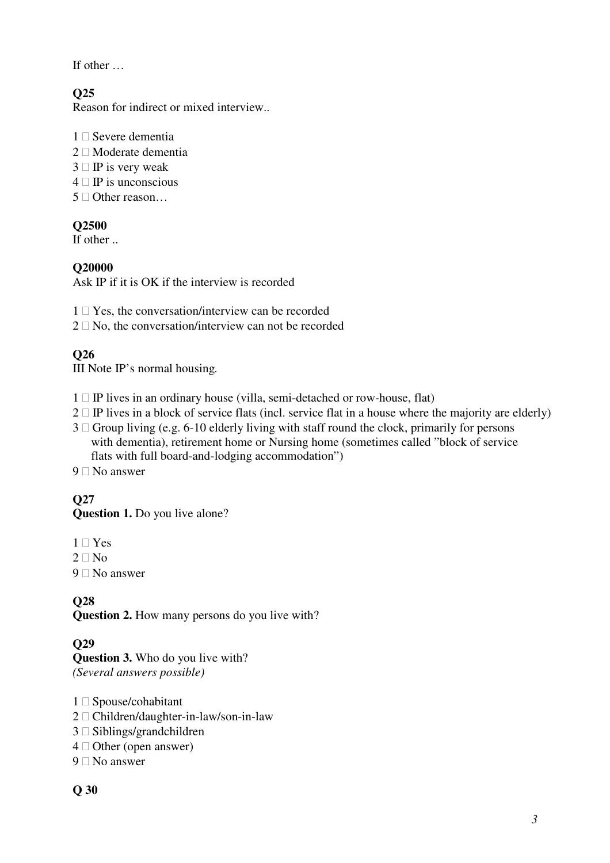If other …

## **Q25**

Reason for indirect or mixed interview..

- 1 Severe dementia
- 2 Moderate dementia
- 3 IP is very weak
- 4 IP is unconscious
- 5 Other reason…

### **Q2500**

If other ..

### **Q20000**

Ask IP if it is OK if the interview is recorded

- 1 Yes, the conversation/interview can be recorded
- 2 No, the conversation/interview can not be recorded

## **Q26**

III Note IP's normal housing*.* 

- 1 IP lives in an ordinary house (villa, semi-detached or row-house, flat)
- 2 IP lives in a block of service flats (incl. service flat in a house where the majority are elderly)
- 3 Group living (e.g. 6-10 elderly living with staff round the clock, primarily for persons with dementia), retirement home or Nursing home (sometimes called "block of service flats with full board-and-lodging accommodation")
- 9 No answer

# **Q27**

### **Question 1.** Do you live alone?

- 1 Yes
- 2 No
- 9 No answer

## **Q28**

**Question 2.** How many persons do you live with?

## **Q29**

**Question 3.** Who do you live with? *(Several answers possible)* 

- 1 Spouse/cohabitant
- 2 Children/daughter-in-law/son-in-law
- 3 Siblings/grandchildren
- 4 Other (open answer)
- 9 No answer

### **Q 30**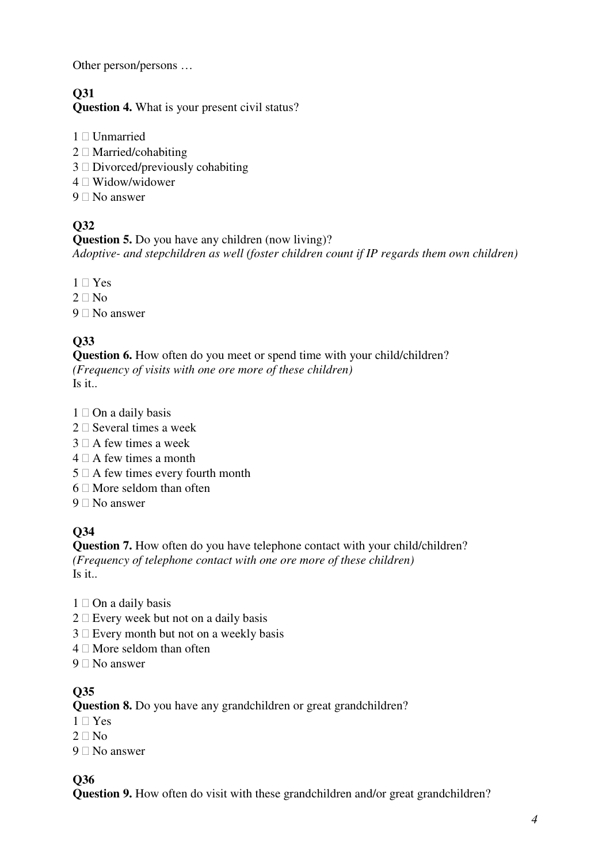Other person/persons …

# **Q31**

**Question 4.** What is your present civil status?

- 1 Unmarried
- 2 Married/cohabiting
- 3 Divorced/previously cohabiting
- 4 Widow/widower
- 9 No answer

# **Q32**

**Question 5.** Do you have any children (now living)? *Adoptive- and stepchildren as well (foster children count if IP regards them own children)* 

- 1 Yes
- 2 No
- 9 No answer

# **Q33**

**Question 6.** How often do you meet or spend time with your child/children? *(Frequency of visits with one ore more of these children)* 

Is it..

- 1 On a daily basis
- 2 Several times a week
- 3 A few times a week
- 4 A few times a month
- 5 A few times every fourth month
- 6 More seldom than often
- 9 No answer

# **Q34**

**Question 7.** How often do you have telephone contact with your child/children? *(Frequency of telephone contact with one ore more of these children)*  Is it..

- 1 On a daily basis
- 2 Every week but not on a daily basis
- 3 Every month but not on a weekly basis
- 4 More seldom than often
- 9 No answer

## **Q35**

**Question 8.** Do you have any grandchildren or great grandchildren?

- 1 Yes
- 2  $\sqrt{2}$
- 9 No answer

## **Q36**

**Question 9.** How often do visit with these grandchildren and/or great grandchildren?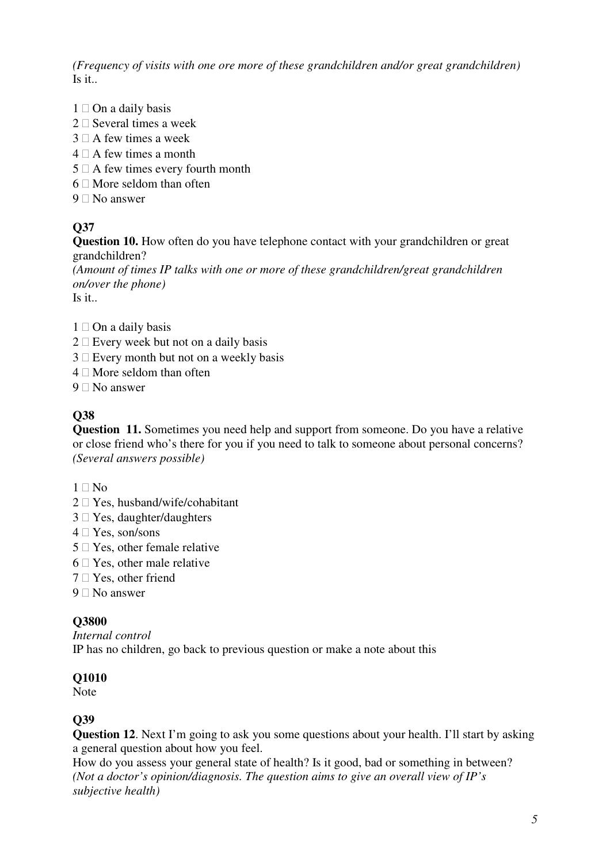*(Frequency of visits with one ore more of these grandchildren and/or great grandchildren)*  Is it..

- 1 On a daily basis
- 2 Several times a week
- 3 A few times a week
- 4 A few times a month
- 5 A few times every fourth month
- 6 More seldom than often
- 9 No answer

## **Q37**

**Question 10.** How often do you have telephone contact with your grandchildren or great grandchildren?

*(Amount of times IP talks with one or more of these grandchildren/great grandchildren on/over the phone)* 

Is it..

- 1 On a daily basis
- 2 Every week but not on a daily basis
- 3 Every month but not on a weekly basis
- 4 More seldom than often
- 9 No answer

### **Q38**

**Question 11.** Sometimes you need help and support from someone. Do you have a relative or close friend who's there for you if you need to talk to someone about personal concerns? *(Several answers possible)*

- $1$  No
- 2 Yes, husband/wife/cohabitant
- 3 Yes, daughter/daughters
- 4 Yes, son/sons
- 5 Yes, other female relative
- 6 Yes, other male relative
- 7 Yes, other friend
- 9 No answer

#### **Q3800**

*Internal control*  IP has no children, go back to previous question or make a note about this

### **Q1010**

Note

### **Q39**

**Question 12.** Next I'm going to ask you some questions about your health. I'll start by asking a general question about how you feel.

How do you assess your general state of health? Is it good, bad or something in between? *(Not a doctor's opinion/diagnosis. The question aims to give an overall view of IP's subjective health)*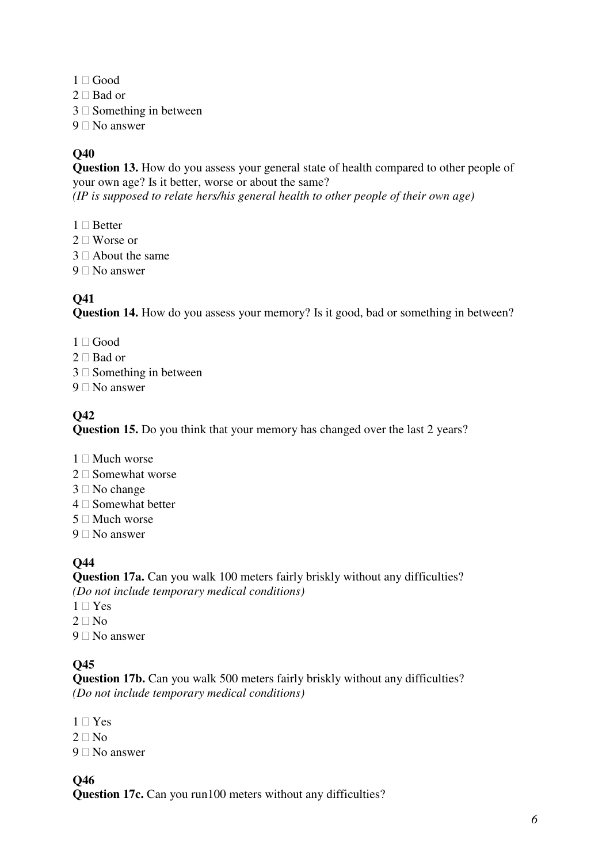- 1 Good
- 2 Bad or
- 3 Something in between
- 9 No answer

**Question 13.** How do you assess your general state of health compared to other people of your own age? Is it better, worse or about the same? *(IP is supposed to relate hers/his general health to other people of their own age)*

- 1 Better
- 2 Worse or
- 3 About the same
- 9 No answer

## **Q41**

**Question 14.** How do you assess your memory? Is it good, bad or something in between?

- 1 Good
- 2 Bad or
- 3 Something in between
- 9 No answer

## **Q42**

**Question 15.** Do you think that your memory has changed over the last 2 years?

- 1 Much worse
- 2 Somewhat worse
- 3 No change
- 4 Somewhat better
- 5 Much worse
- 9 No answer

## **Q44**

**Question 17a.** Can you walk 100 meters fairly briskly without any difficulties? *(Do not include temporary medical conditions)* 

- 1 Yes
- 2 No
- 9 No answer

## **Q45**

**Question 17b.** Can you walk 500 meters fairly briskly without any difficulties? *(Do not include temporary medical conditions)* 

- 1 Yes
- 2  $N_0$
- 9 No answer

### **Q46**

**Question 17c.** Can you run100 meters without any difficulties?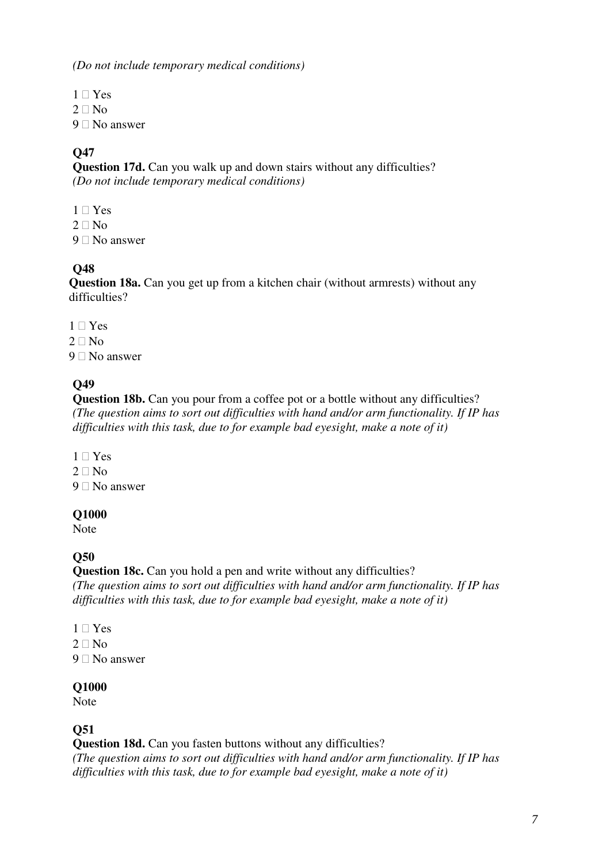*(Do not include temporary medical conditions)* 

- 1 Yes
- $2$  No
- 9 No answer

### **Q47**

**Question 17d.** Can you walk up and down stairs without any difficulties? *(Do not include temporary medical conditions)* 

- 1 Yes
- 2  $N<sub>0</sub>$
- 9 No answer

## **Q48**

**Question 18a.** Can you get up from a kitchen chair (without armrests) without any difficulties?

- 1 Yes
- 2 No
- 9 No answer

### **Q49**

**Question 18b.** Can you pour from a coffee pot or a bottle without any difficulties? *(The question aims to sort out difficulties with hand and/or arm functionality. If IP has difficulties with this task, due to for example bad eyesight, make a note of it)* 

- 1 Yes
- 2 No
- 9 No answer

#### **Q1000**

Note

#### **Q50**

**Question 18c.** Can you hold a pen and write without any difficulties? *(The question aims to sort out difficulties with hand and/or arm functionality. If IP has difficulties with this task, due to for example bad eyesight, make a note of it)* 

- 1 Yes
- 2 No
- 9 No answer

#### **Q1000**

Note

### **Q51**

**Question 18d.** Can you fasten buttons without any difficulties?

*(The question aims to sort out difficulties with hand and/or arm functionality. If IP has difficulties with this task, due to for example bad eyesight, make a note of it)*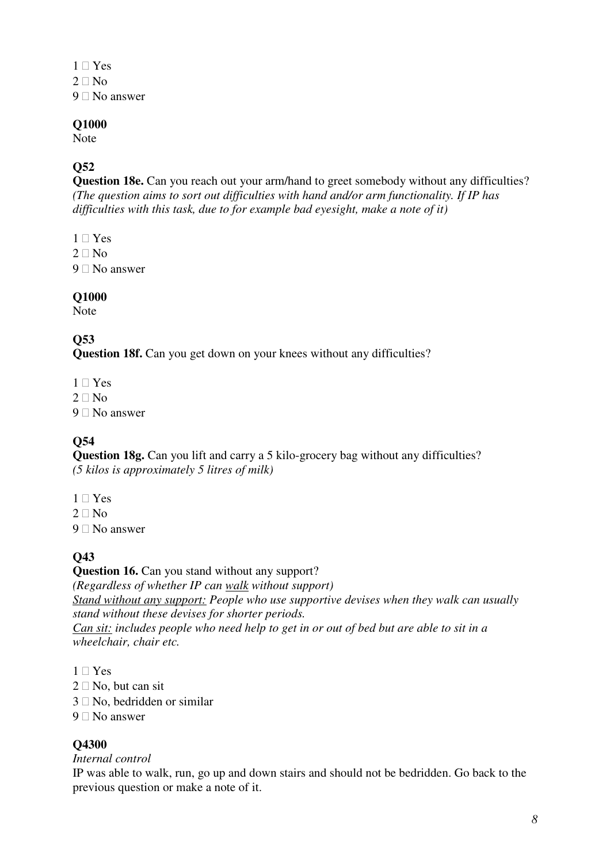- 1 Yes
- $2$  No
- 9 No answer

Note

### **Q52**

**Question 18e.** Can you reach out your arm/hand to greet somebody without any difficulties? *(The question aims to sort out difficulties with hand and/or arm functionality. If IP has difficulties with this task, due to for example bad eyesight, make a note of it)* 

- 1 Yes
- 2 No
- 9 No answer

#### **Q1000**

Note

### **Q53**

**Question 18f.** Can you get down on your knees without any difficulties?

- 1 Yes
- 2 No
- 9 No answer

### **Q54**

**Question 18g.** Can you lift and carry a 5 kilo-grocery bag without any difficulties? *(5 kilos is approximately 5 litres of milk)* 

- 1 Yes
- 2 No
- 9 No answer

### **Q43**

**Question 16.** Can you stand without any support? *(Regardless of whether IP can walk without support) Stand without any support: People who use supportive devises when they walk can usually stand without these devises for shorter periods. Can sit: includes people who need help to get in or out of bed but are able to sit in a wheelchair, chair etc.*

- 1 Yes
- 2 No, but can sit
- 3 No, bedridden or similar
- 9 No answer

#### **Q4300**

#### *Internal control*

IP was able to walk, run, go up and down stairs and should not be bedridden. Go back to the previous question or make a note of it.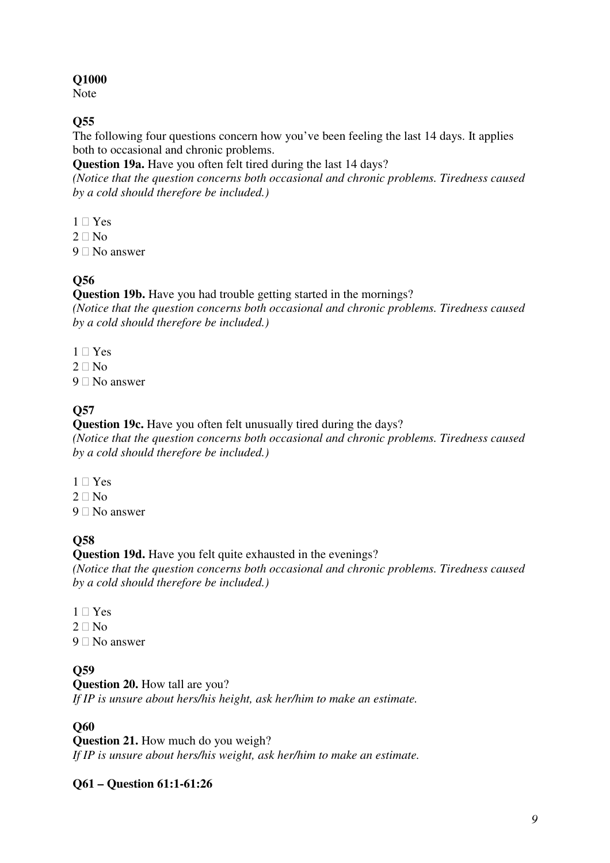Note

### **Q55**

The following four questions concern how you've been feeling the last 14 days. It applies both to occasional and chronic problems.

**Question 19a.** Have you often felt tired during the last 14 days?

*(Notice that the question concerns both occasional and chronic problems. Tiredness caused by a cold should therefore be included.)* 

- 1 Yes
- 2  $N<sub>0</sub>$
- 9 No answer

## **Q56**

**Question 19b.** Have you had trouble getting started in the mornings?

*(Notice that the question concerns both occasional and chronic problems. Tiredness caused by a cold should therefore be included.)* 

- 1 Yes
- $2$  No
- 9 No answer

# **Q57**

**Question 19c.** Have you often felt unusually tired during the days? *(Notice that the question concerns both occasional and chronic problems. Tiredness caused by a cold should therefore be included.)* 

- 1 Yes
- 2 No
- 9 No answer

# **Q58**

**Question 19d.** Have you felt quite exhausted in the evenings?

*(Notice that the question concerns both occasional and chronic problems. Tiredness caused by a cold should therefore be included.)* 

- 1 Yes
- 2 No
- 9 No answer

## **Q59**

**Question 20.** How tall are you? *If IP is unsure about hers/his height, ask her/him to make an estimate.* 

## **Q60**

**Question 21.** How much do you weigh? *If IP is unsure about hers/his weight, ask her/him to make an estimate.* 

## **Q61 – Question 61:1-61:26**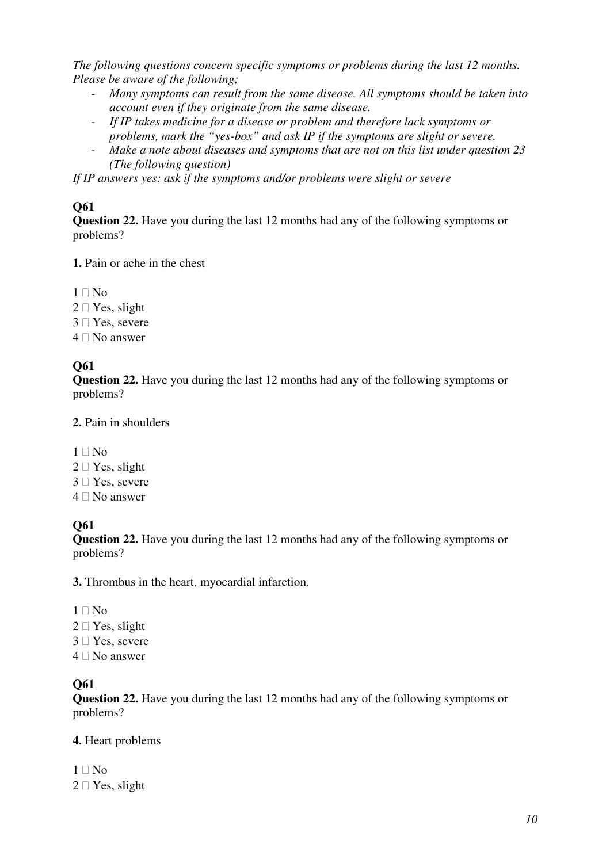*The following questions concern specific symptoms or problems during the last 12 months. Please be aware of the following;* 

- *Many symptoms can result from the same disease. All symptoms should be taken into account even if they originate from the same disease.*
- *If IP takes medicine for a disease or problem and therefore lack symptoms or problems, mark the "yes-box" and ask IP if the symptoms are slight or severe.*
- *Make a note about diseases and symptoms that are not on this list under question 23 (The following question)*

*If IP answers yes: ask if the symptoms and/or problems were slight or severe* 

### **Q61**

**Question 22.** Have you during the last 12 months had any of the following symptoms or problems?

**1.** Pain or ache in the chest

- 1 No
- 2 Yes, slight
- 3 Yes, severe
- 4 No answer

### **Q61**

**Question 22.** Have you during the last 12 months had any of the following symptoms or problems?

#### **2.** Pain in shoulders

- 1 No
- 2 Yes, slight
- 3 Yes, severe
- 4 No answer

### **Q61**

**Question 22.** Have you during the last 12 months had any of the following symptoms or problems?

**3.** Thrombus in the heart, myocardial infarction.

- 1 No
- 2 Yes, slight
- 3 Yes, severe
- 4 No answer

# **Q61**

**Question 22.** Have you during the last 12 months had any of the following symptoms or problems?

### **4.** Heart problems

- $1$  No
- 2 Yes, slight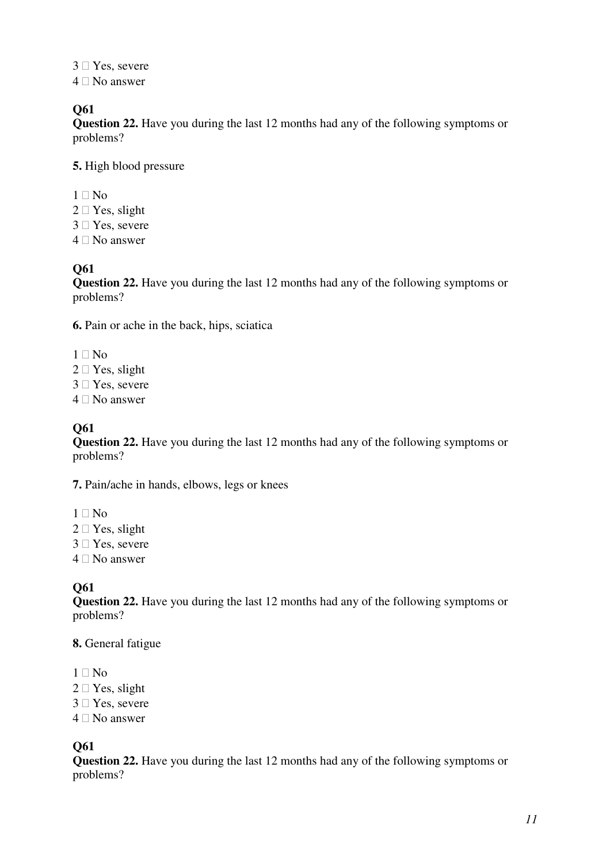- 3 Yes, severe
- 4 No answer

**Question 22.** Have you during the last 12 months had any of the following symptoms or problems?

**5.** High blood pressure

- 1 No
- 2 Yes, slight
- 3 Yes, severe
- 4 No answer

## **Q61**

**Question 22.** Have you during the last 12 months had any of the following symptoms or problems?

**6.** Pain or ache in the back, hips, sciatica

- 1 No
- 2 Yes, slight
- 3 Yes, severe
- 4 No answer

## **Q61**

**Question 22.** Have you during the last 12 months had any of the following symptoms or problems?

**7.** Pain/ache in hands, elbows, legs or knees

- 1 No
- 2 Yes, slight
- 3 Yes, severe
- 4 No answer

## **Q61**

**Question 22.** Have you during the last 12 months had any of the following symptoms or problems?

#### **8.** General fatigue

- 1 No
- 2 Yes, slight
- 3 Yes, severe
- 4 No answer

### **Q61**

**Question 22.** Have you during the last 12 months had any of the following symptoms or problems?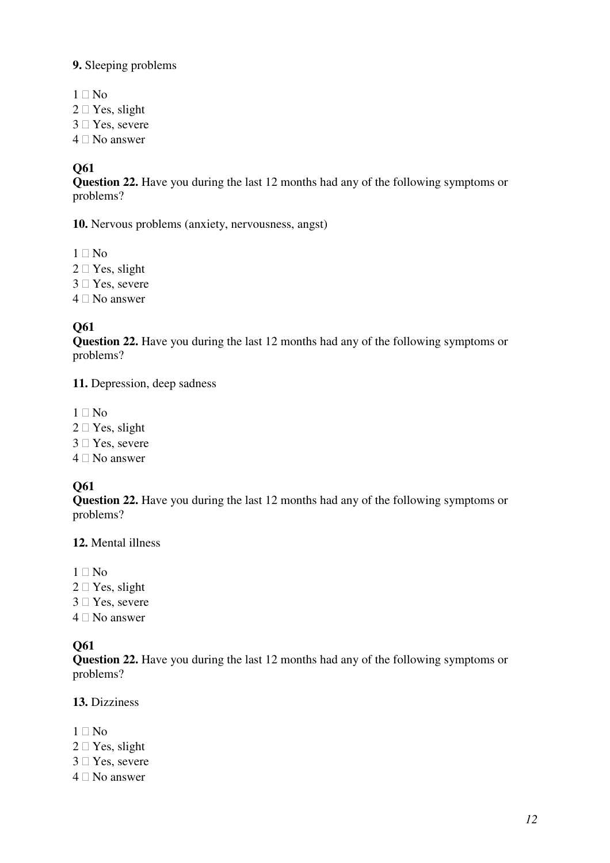#### **9.** Sleeping problems

- 1 No
- 2 Yes, slight
- 3 Yes, severe
- 4 No answer

#### **Q61**

**Question 22.** Have you during the last 12 months had any of the following symptoms or problems?

**10.** Nervous problems (anxiety, nervousness, angst)

- 1 No
- 2 Yes, slight
- 3 Yes, severe
- 4 No answer

## **Q61**

**Question 22.** Have you during the last 12 months had any of the following symptoms or problems?

**11.** Depression, deep sadness

- 1 No
- 2 Yes, slight
- 3 Yes, severe
- 4 No answer

### **Q61**

**Question 22.** Have you during the last 12 months had any of the following symptoms or problems?

#### **12.** Mental illness

- 1 No
- 2 Yes, slight
- 3 Yes, severe
- 4 No answer

### **Q61**

**Question 22.** Have you during the last 12 months had any of the following symptoms or problems?

#### **13.** Dizziness

- 1 No
- 2 Yes, slight
- 3 Yes, severe
- 4 No answer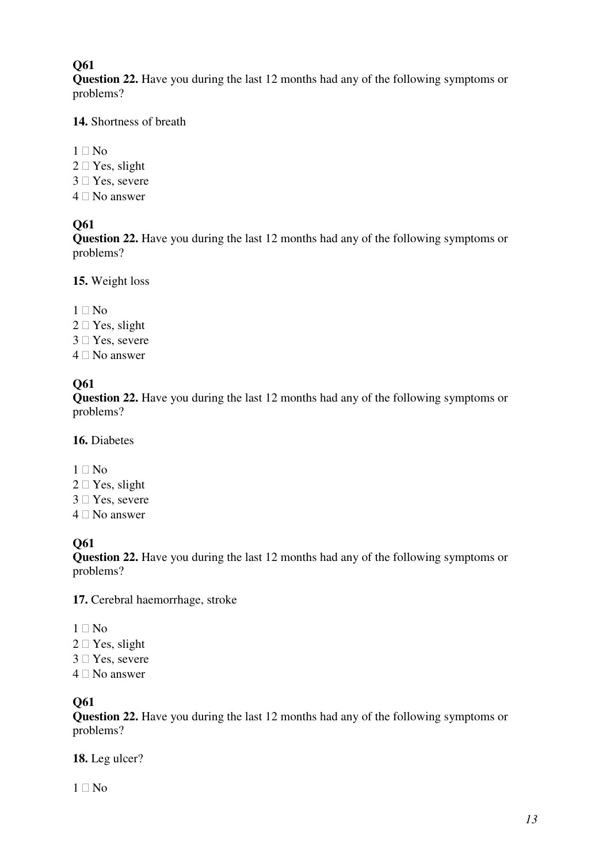**Question 22.** Have you during the last 12 months had any of the following symptoms or problems?

#### **14.** Shortness of breath

- 1 No
- 2 Yes, slight
- 3 Yes, severe
- 4 No answer

### **Q61**

**Question 22.** Have you during the last 12 months had any of the following symptoms or problems?

**15.** Weight loss

- 1 No
- 2 Yes, slight
- 3 Yes, severe
- 4 No answer

#### **Q61**

**Question 22.** Have you during the last 12 months had any of the following symptoms or problems?

**16.** Diabetes

- 1 No
- 2 Yes, slight
- 3 Yes, severe
- 4 No answer

## **Q61**

**Question 22.** Have you during the last 12 months had any of the following symptoms or problems?

**17.** Cerebral haemorrhage, stroke

- 1 No
- 2 Yes, slight
- 3 Yes, severe
- 4 No answer

### **Q61**

**Question 22.** Have you during the last 12 months had any of the following symptoms or problems?

**18.** Leg ulcer?

1 No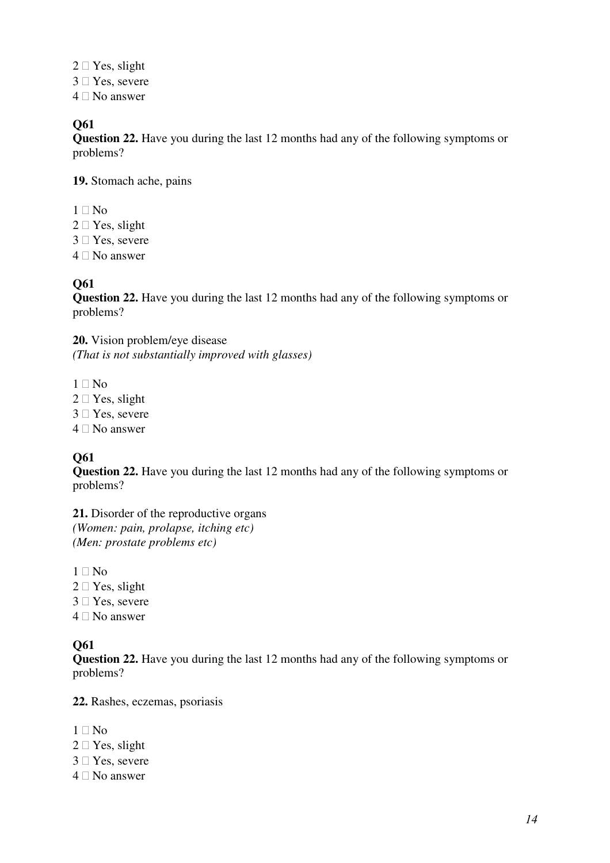- 2 Yes, slight
- 3 Yes, severe
- 4 No answer

**Question 22.** Have you during the last 12 months had any of the following symptoms or problems?

**19.** Stomach ache, pains

- $1$  No
- 2 Yes, slight
- 3 Yes, severe
- 4 No answer

#### **Q61**

**Question 22.** Have you during the last 12 months had any of the following symptoms or problems?

**20.** Vision problem/eye disease *(That is not substantially improved with glasses)* 

- 1 No
- 2 Yes, slight
- 3 Yes, severe
- 4 No answer

### **Q61**

**Question 22.** Have you during the last 12 months had any of the following symptoms or problems?

**21.** Disorder of the reproductive organs *(Women: pain, prolapse, itching etc) (Men: prostate problems etc)* 

- 1 No
- 2 Yes, slight
- 3 Yes, severe
- 4 No answer

#### **Q61**

**Question 22.** Have you during the last 12 months had any of the following symptoms or problems?

**22.** Rashes, eczemas, psoriasis

- 1 No
- 2 Yes, slight
- 3 Yes, severe
- 4 No answer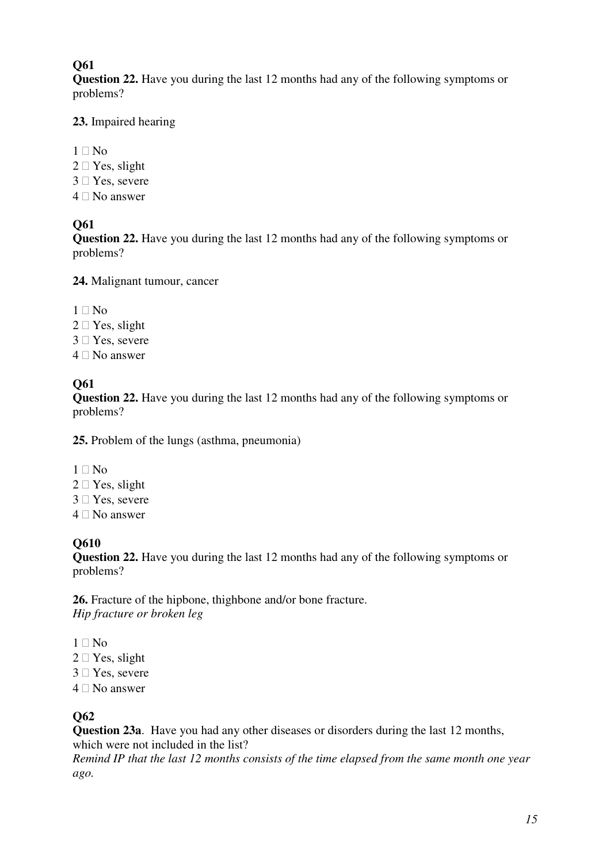**Question 22.** Have you during the last 12 months had any of the following symptoms or problems?

#### **23.** Impaired hearing

- 1 No
- 2 Yes, slight
- 3 Yes, severe
- 4 No answer

### **Q61**

**Question 22.** Have you during the last 12 months had any of the following symptoms or problems?

**24.** Malignant tumour, cancer

- 1 No
- 2 Yes, slight
- 3 Yes, severe
- 4 No answer

#### **Q61**

**Question 22.** Have you during the last 12 months had any of the following symptoms or problems?

**25.** Problem of the lungs (asthma, pneumonia)

- 1 No
- 2 Yes, slight
- 3 Yes, severe
- 4 No answer

## **Q610**

**Question 22.** Have you during the last 12 months had any of the following symptoms or problems?

**26.** Fracture of the hipbone, thighbone and/or bone fracture. *Hip fracture or broken leg* 

- 1 No
- 2 Yes, slight
- 3 Yes, severe
- 4 No answer

## **Q62**

**Question 23a**. Have you had any other diseases or disorders during the last 12 months, which were not included in the list?

*Remind IP that the last 12 months consists of the time elapsed from the same month one year ago.*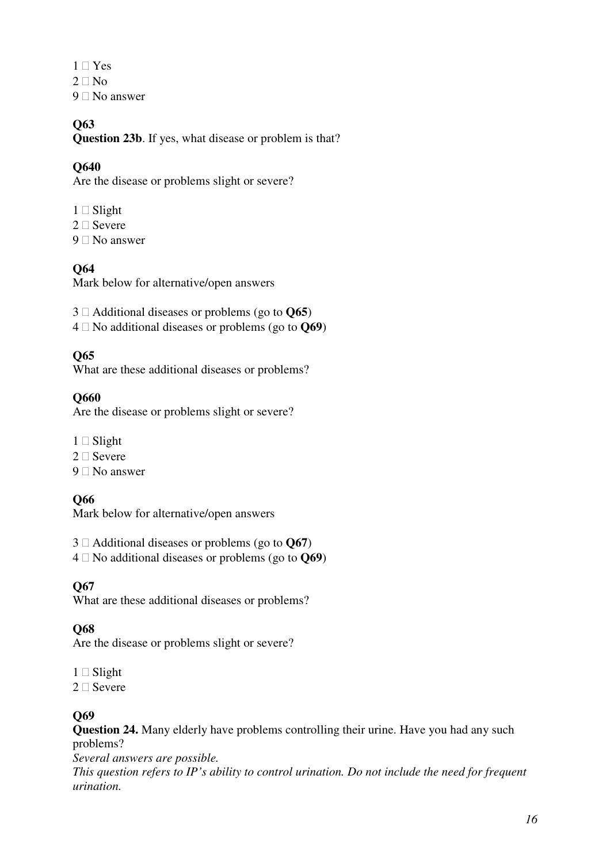- 1 Yes
- 2 No
- 9 No answer

**Question 23b**. If yes, what disease or problem is that?

### **Q640**

Are the disease or problems slight or severe?

- 1 Slight
- 2 Severe
- 9 No answer

#### **Q64**

Mark below for alternative/open answers

- 3 Additional diseases or problems (go to **Q65**)
- 4 No additional diseases or problems (go to **Q69**)

#### **Q65**

What are these additional diseases or problems?

#### **Q660**

Are the disease or problems slight or severe?

- 1 Slight
- 2 Severe
- 9 No answer

### **Q66**

Mark below for alternative/open answers

- 3 Additional diseases or problems (go to **Q67**)
- 4 No additional diseases or problems (go to **Q69**)

#### **Q67**

What are these additional diseases or problems?

### **Q68**

Are the disease or problems slight or severe?

- 1 Slight
- 2 Severe

#### **Q69**

**Question 24.** Many elderly have problems controlling their urine. Have you had any such problems?

*Several answers are possible.* 

*This question refers to IP's ability to control urination. Do not include the need for frequent urination.*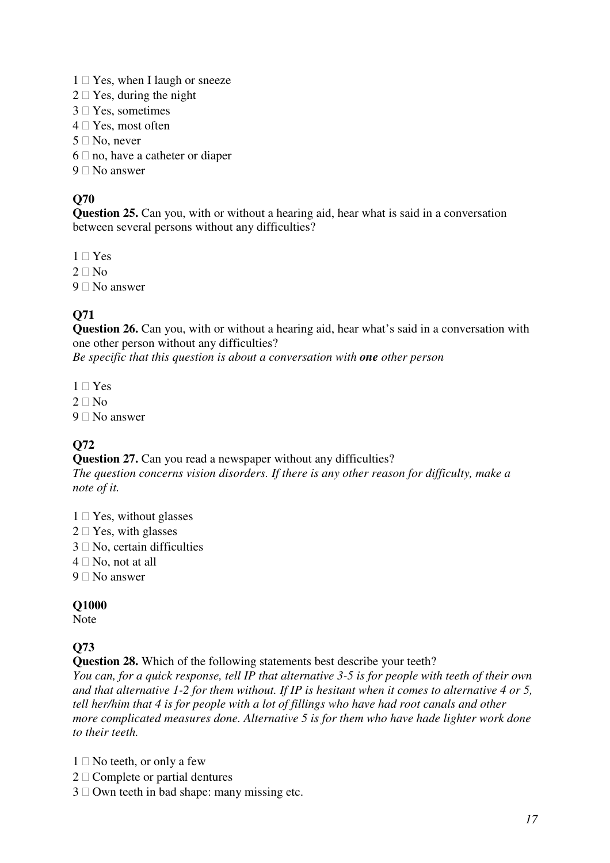- 1 Yes, when I laugh or sneeze
- 2 Yes, during the night
- 3 Yes, sometimes
- 4 Yes, most often
- 5 No, never
- 6 no, have a catheter or diaper
- 9 No answer

**Question 25.** Can you, with or without a hearing aid, hear what is said in a conversation between several persons without any difficulties?

- 1 Yes
- $2$  No
- 9 No answer

### **Q71**

**Question 26.** Can you, with or without a hearing aid, hear what's said in a conversation with one other person without any difficulties?

*Be specific that this question is about a conversation with one other person* 

- 1 Yes
- 2  $N<sub>0</sub>$
- 9 No answer

### **Q72**

**Question 27.** Can you read a newspaper without any difficulties? *The question concerns vision disorders. If there is any other reason for difficulty, make a note of it.* 

- 1 Yes, without glasses
- 2 Yes, with glasses
- 3 No, certain difficulties
- 4 No, not at all
- 9 No answer

#### **Q1000**

Note

## **Q73**

**Question 28.** Which of the following statements best describe your teeth?

*You can, for a quick response, tell IP that alternative 3-5 is for people with teeth of their own and that alternative 1-2 for them without. If IP is hesitant when it comes to alternative 4 or 5, tell her/him that 4 is for people with a lot of fillings who have had root canals and other more complicated measures done. Alternative 5 is for them who have hade lighter work done to their teeth.* 

- 1 No teeth, or only a few
- 2 Complete or partial dentures
- 3 Own teeth in bad shape: many missing etc.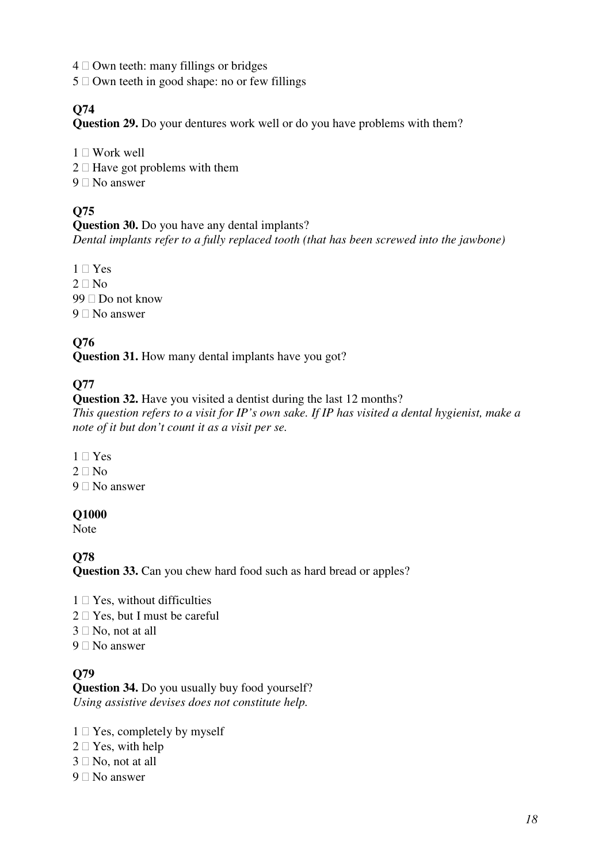- 4 Own teeth: many fillings or bridges
- 5 Own teeth in good shape: no or few fillings

**Question 29.** Do your dentures work well or do you have problems with them?

- 1 Work well
- 2 Have got problems with them
- 9 No answer

## **Q75**

#### **Question 30.** Do you have any dental implants? *Dental implants refer to a fully replaced tooth (that has been screwed into the jawbone)*

- 1 Yes
- 2 No
- 99 Do not know
- 9 No answer

### **Q76**

**Question 31.** How many dental implants have you got?

### **Q77**

**Question 32.** Have you visited a dentist during the last 12 months? *This question refers to a visit for IP's own sake. If IP has visited a dental hygienist, make a note of it but don't count it as a visit per se.* 

- 1 Yes
- 2 No
- 9 No answer

#### **Q1000**

Note

**Q78** 

**Question 33.** Can you chew hard food such as hard bread or apples?

- 1 Yes, without difficulties
- 2 Yes, but I must be careful
- 3 No, not at all
- 9 No answer

### **Q79**

**Question 34.** Do you usually buy food yourself? *Using assistive devises does not constitute help.* 

- 1 Yes, completely by myself
- 2 Yes, with help
- 3 No, not at all
- 9 No answer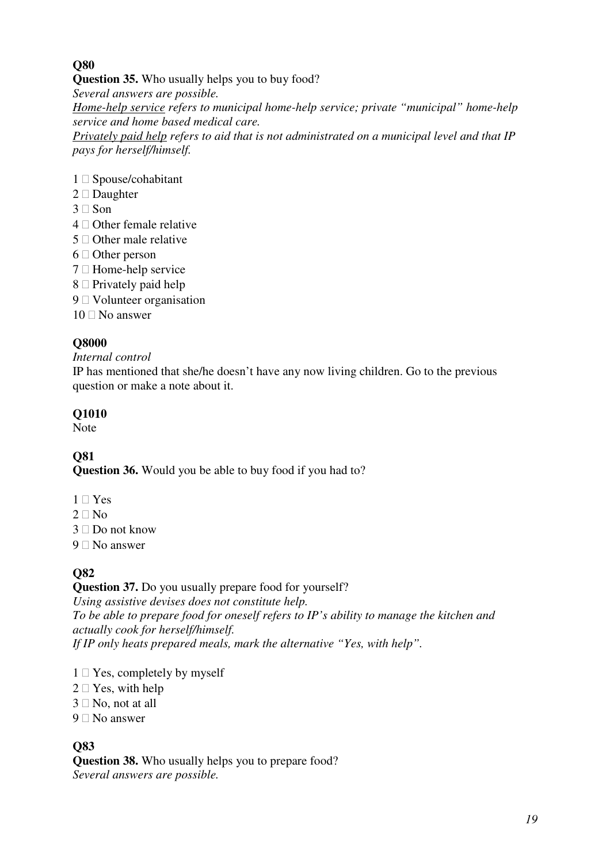**Question 35.** Who usually helps you to buy food?

*Several answers are possible.* 

*Home-help service refers to municipal home-help service; private "municipal" home-help service and home based medical care.* 

*Privately paid help refers to aid that is not administrated on a municipal level and that IP pays for herself/himself.*

- 1 Spouse/cohabitant
- 2 Daughter
- 3 Son
- 4 Other female relative
- 5 Other male relative
- 6 Other person
- 7 Home-help service
- 8 Privately paid help
- 9 Volunteer organisation
- 10 No answer

## **Q8000**

### *Internal control*

IP has mentioned that she/he doesn't have any now living children. Go to the previous question or make a note about it.

## **Q1010**

Note

# **Q81**

**Question 36.** Would you be able to buy food if you had to?

- 1 Yes
- $2$  No
- 3 Do not know
- 9 No answer

# **Q82**

## **Question 37.** Do you usually prepare food for yourself?

*Using assistive devises does not constitute help. To be able to prepare food for oneself refers to IP's ability to manage the kitchen and actually cook for herself/himself. If IP only heats prepared meals, mark the alternative "Yes, with help".* 

- 1 Yes, completely by myself
- 2 Yes, with help
- 3 No, not at all
- 9 No answer

## **Q83**

**Question 38.** Who usually helps you to prepare food? *Several answers are possible.*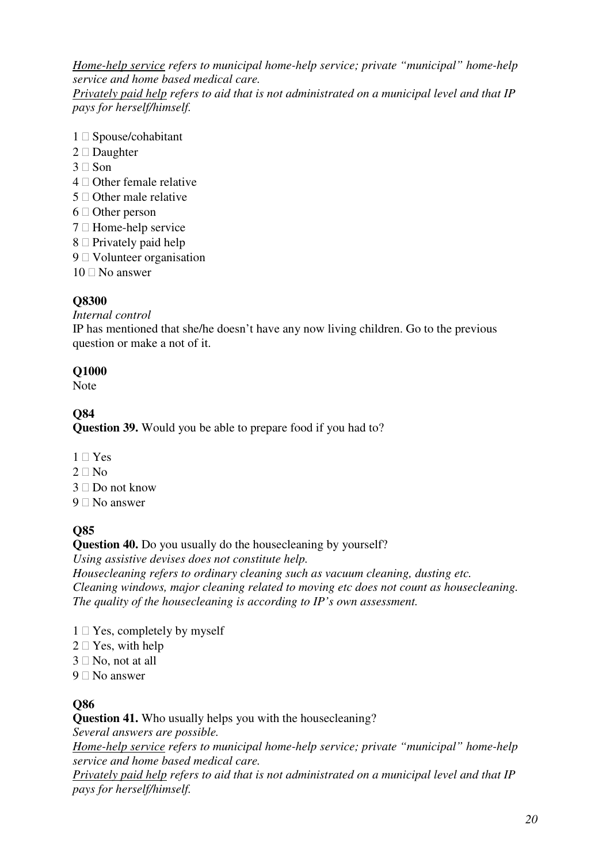*Home-help service refers to municipal home-help service; private "municipal" home-help service and home based medical care.* 

*Privately paid help refers to aid that is not administrated on a municipal level and that IP pays for herself/himself.*

- 1 Spouse/cohabitant
- 2 Daughter
- 3 Son
- 4 Other female relative
- 5 Other male relative
- 6 Other person
- 7 Home-help service
- 8 Privately paid help
- 9 Volunteer organisation
- 10 No answer

#### **Q8300**

*Internal control*

IP has mentioned that she/he doesn't have any now living children. Go to the previous question or make a not of it.

#### **Q1000**

Note

### **Q84**

**Question 39.** Would you be able to prepare food if you had to?

- 1 Yes
- 2  $N<sub>0</sub>$
- 3 Do not know
- 9 No answer

### **Q85**

### **Question 40.** Do you usually do the house cleaning by yourself?

*Using assistive devises does not constitute help.* 

*Housecleaning refers to ordinary cleaning such as vacuum cleaning, dusting etc. Cleaning windows, major cleaning related to moving etc does not count as housecleaning. The quality of the housecleaning is according to IP's own assessment.* 

- 1 Yes, completely by myself
- 2 Yes, with help
- 3 No, not at all
- 9 No answer

### **Q86**

**Question 41.** Who usually helps you with the housecleaning?

*Several answers are possible.* 

*Home-help service refers to municipal home-help service; private "municipal" home-help service and home based medical care.* 

*Privately paid help refers to aid that is not administrated on a municipal level and that IP pays for herself/himself.*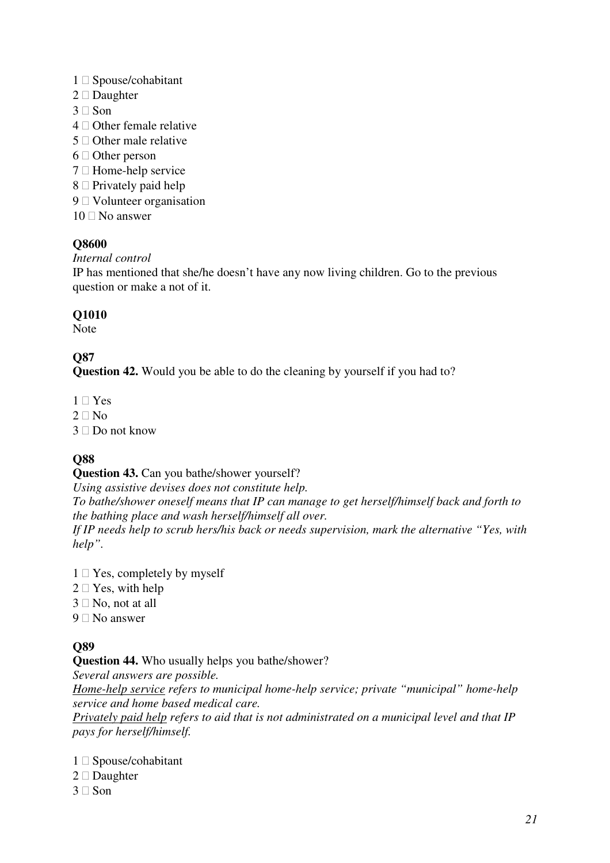- 1 Spouse/cohabitant
- 2 Daughter
- 3 Son
- 4 Other female relative
- 5 Other male relative
- 6 Other person
- 7 Home-help service
- 8 Privately paid help
- 9 Volunteer organisation
- 10 No answer

#### *Internal control*

IP has mentioned that she/he doesn't have any now living children. Go to the previous question or make a not of it.

### **Q1010**

Note

## **Q87**

**Question 42.** Would you be able to do the cleaning by yourself if you had to?

- 1 Yes
- $2$  No
- 3 Do not know

## **Q88**

**Question 43.** Can you bathe/shower yourself?

*Using assistive devises does not constitute help.* 

*To bathe/shower oneself means that IP can manage to get herself/himself back and forth to the bathing place and wash herself/himself all over.* 

*If IP needs help to scrub hers/his back or needs supervision, mark the alternative "Yes, with help".* 

- 1 Yes, completely by myself
- 2 Yes, with help
- 3 No, not at all
- 9 No answer

## **Q89**

**Question 44.** Who usually helps you bathe/shower? *Several answers are possible.* 

*Home-help service refers to municipal home-help service; private "municipal" home-help service and home based medical care.* 

*Privately paid help refers to aid that is not administrated on a municipal level and that IP pays for herself/himself.* 

- 1 Spouse/cohabitant
- 2 Daughter
- 3 Son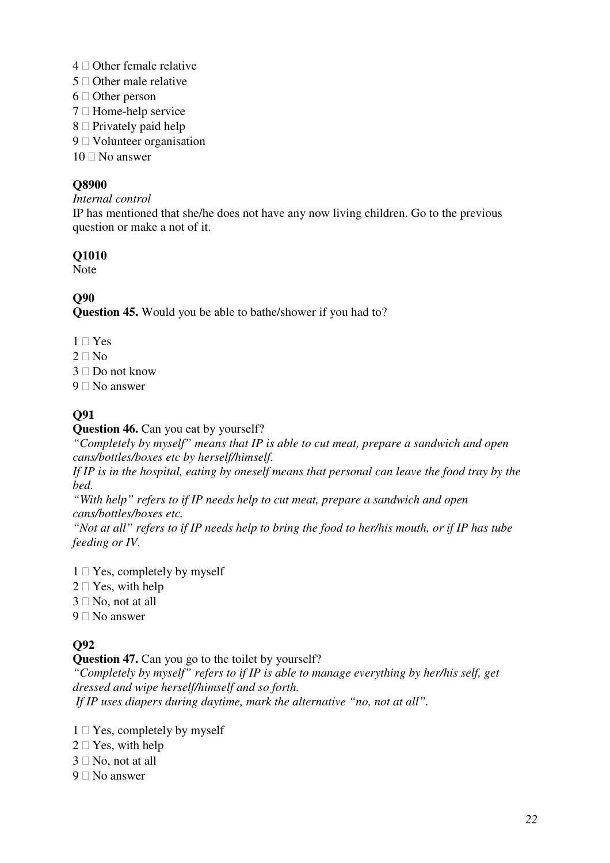- 4 Other female relative
- 5 Other male relative
- 6 Other person
- 7 Home-help service
- 8 Privately paid help
- 9 Volunteer organisation
- 10 No answer

#### *Internal control*

IP has mentioned that she/he does not have any now living children. Go to the previous question or make a not of it.

#### **Q1010**

Note

#### **Q90**

**Question 45.** Would you be able to bathe/shower if you had to?

- 1 Yes
- 2  $N<sub>0</sub>$
- 3 Do not know
- 9 No answer

### **Q91**

#### **Question 46.** Can you eat by yourself?

*"Completely by myself" means that IP is able to cut meat, prepare a sandwich and open cans/bottles/boxes etc by herself/himself.* 

*If IP is in the hospital, eating by oneself means that personal can leave the food tray by the bed.* 

*"With help" refers to if IP needs help to cut meat, prepare a sandwich and open cans/bottles/boxes etc.* 

*"Not at all" refers to if IP needs help to bring the food to her/his mouth, or if IP has tube feeding or IV.* 

- 1 Yes, completely by myself
- 2 Yes, with help
- 3 No, not at all
- 9 No answer

### **Q92**

**Question 47.** Can you go to the toilet by yourself? *"Completely by myself" refers to if IP is able to manage everything by her/his self, get dressed and wipe herself/himself and so forth. If IP uses diapers during daytime, mark the alternative "no, not at all".*

- 1 Yes, completely by myself
- 2 Yes, with help
- 3 No, not at all
- 9 No answer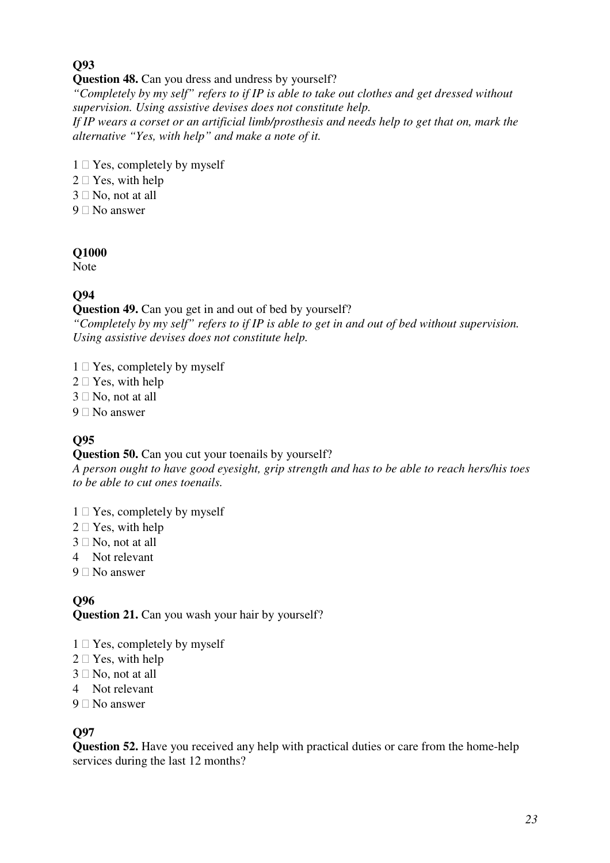## **Question 48.** Can you dress and undress by yourself?

*"Completely by my self" refers to if IP is able to take out clothes and get dressed without supervision. Using assistive devises does not constitute help. If IP wears a corset or an artificial limb/prosthesis and needs help to get that on, mark the alternative "Yes, with help" and make a note of it.*

- 1 Yes, completely by myself
- 2 Yes, with help
- 3 No, not at all
- 9 No answer

#### **Q1000**

Note

### **Q94**

#### **Question 49.** Can you get in and out of bed by yourself?

*"Completely by my self" refers to if IP is able to get in and out of bed without supervision. Using assistive devises does not constitute help.* 

- 1 Yes, completely by myself
- 2 Yes, with help
- 3 No, not at all
- 9 No answer

## **Q95**

### **Question 50.** Can you cut your toenails by yourself?

*A person ought to have good eyesight, grip strength and has to be able to reach hers/his toes to be able to cut ones toenails.* 

- 1 Yes, completely by myself
- 2 Yes, with help
- 3 No, not at all
- 4 Not relevant
- 9 No answer

#### **Q96 Question 21.** Can you wash your hair by yourself?

- 1 Yes, completely by myself
- 2 Yes, with help
- 3 No, not at all
- 4 Not relevant
- 9 No answer

### **Q97**

**Question 52.** Have you received any help with practical duties or care from the home-help services during the last 12 months?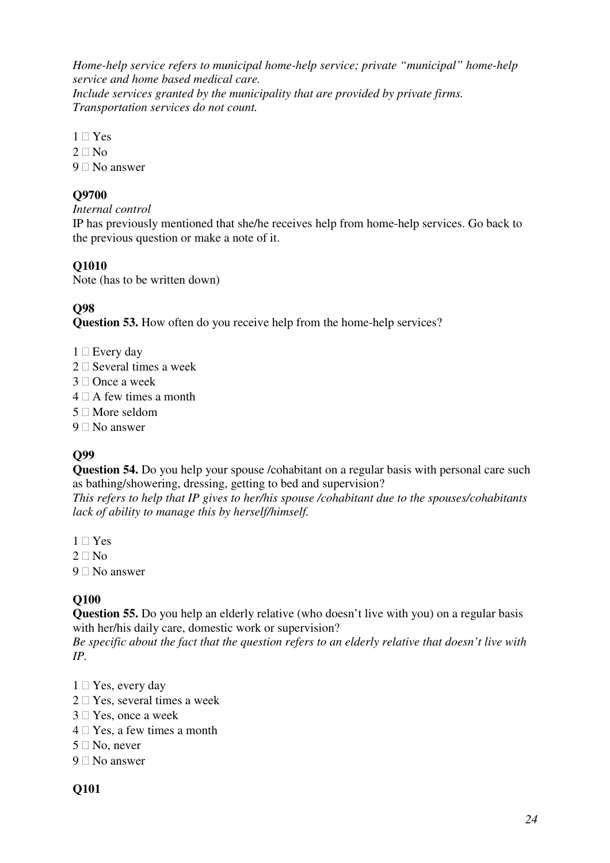*Home-help service refers to municipal home-help service; private "municipal" home-help service and home based medical care.* 

*Include services granted by the municipality that are provided by private firms. Transportation services do not count.* 

- 1 Yes
- 2 No
- 9 No answer

### **Q9700**

#### *Internal control*

IP has previously mentioned that she/he receives help from home-help services. Go back to the previous question or make a note of it.

## **Q1010**

Note (has to be written down)

## **Q98**

**Question 53.** How often do you receive help from the home-help services?

- 1 Every day
- 2 Several times a week
- 3 Once a week
- 4 A few times a month
- 5 More seldom
- 9 No answer

# **Q99**

**Question 54.** Do you help your spouse /cohabitant on a regular basis with personal care such as bathing/showering, dressing, getting to bed and supervision?

*This refers to help that IP gives to her/his spouse /cohabitant due to the spouses/cohabitants lack of ability to manage this by herself/himself.* 

- 1 Yes
- 2  $\sqrt{2}$
- 9 No answer

## **Q100**

**Question 55.** Do you help an elderly relative (who doesn't live with you) on a regular basis with her/his daily care, domestic work or supervision?

*Be specific about the fact that the question refers to an elderly relative that doesn't live with IP.* 

- 1 Yes, every day
- 2 Yes, several times a week
- 3 Yes, once a week
- 4 Yes, a few times a month
- 5 No, never
- 9 No answer

### **Q101**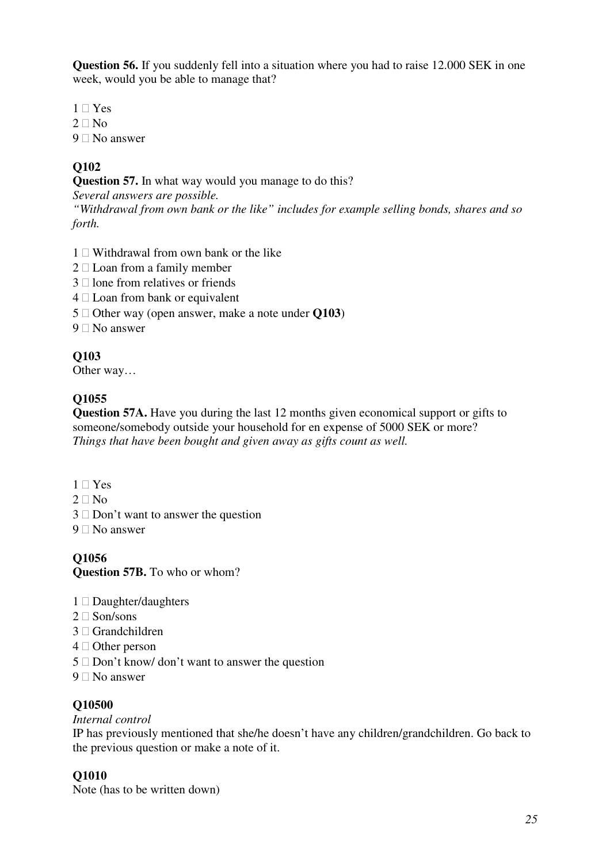**Question 56.** If you suddenly fell into a situation where you had to raise 12.000 SEK in one week, would you be able to manage that?

- 1 Yes
- 2 No
- 9 No answer

## **Q102**

**Question 57.** In what way would you manage to do this?

*Several answers are possible.* 

*"Withdrawal from own bank or the like" includes for example selling bonds, shares and so forth.*

- 1 Withdrawal from own bank or the like
- 2 Loan from a family member
- 3 lone from relatives or friends
- 4 Loan from bank or equivalent
- 5 Other way (open answer, make a note under **Q103**)
- 9 No answer

### **Q103**

Other way…

### **Q1055**

**Question 57A.** Have you during the last 12 months given economical support or gifts to someone/somebody outside your household for en expense of 5000 SEK or more? *Things that have been bought and given away as gifts count as well.* 

- 1 Yes
- 2 No
- 3 Don't want to answer the question
- 9 No answer

### **Q1056**

**Question 57B.** To who or whom?

- 1 Daughter/daughters
- 2 Son/sons
- 3 Grandchildren
- 4 Other person
- 5 Don't know/ don't want to answer the question
- 9 No answer

#### **Q10500**

#### *Internal control*

IP has previously mentioned that she/he doesn't have any children/grandchildren. Go back to the previous question or make a note of it.

### **Q1010**

Note (has to be written down)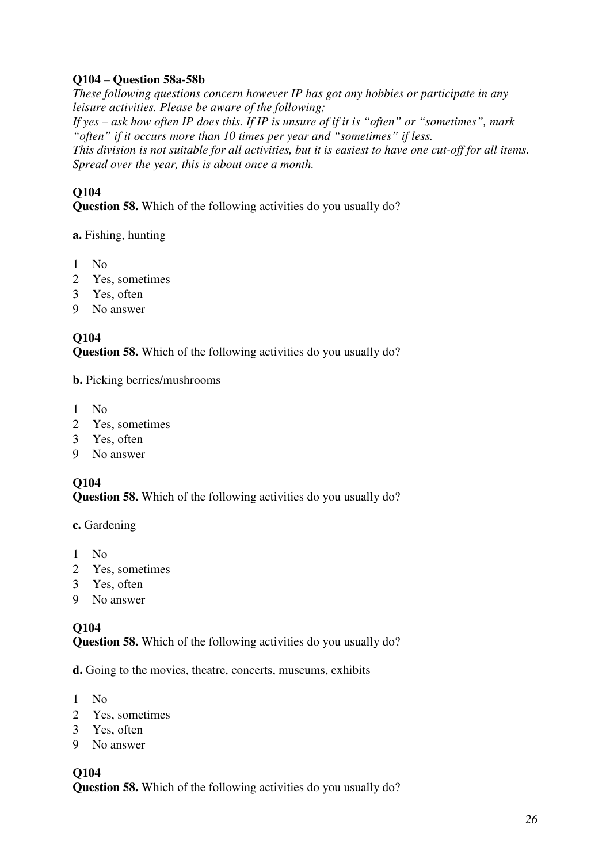### **Q104 – Question 58a-58b**

*These following questions concern however IP has got any hobbies or participate in any leisure activities. Please be aware of the following; If yes – ask how often IP does this. If IP is unsure of if it is "often" or "sometimes", mark "often" if it occurs more than 10 times per year and "sometimes" if less. This division is not suitable for all activities, but it is easiest to have one cut-off for all items. Spread over the year, this is about once a month.*

#### **Q104**

**Question 58.** Which of the following activities do you usually do?

#### **a.** Fishing, hunting

- 1 No
- 2 Yes, sometimes
- 3 Yes, often
- 9 No answer

#### **Q104**

**Question 58.** Which of the following activities do you usually do?

**b.** Picking berries/mushrooms

- 1 No
- 2 Yes, sometimes
- 3 Yes, often
- 9 No answer

#### **Q104**

**Question 58.** Which of the following activities do you usually do?

**c.** Gardening

- 1 No
- 2 Yes, sometimes
- 3 Yes, often
- 9 No answer

#### **Q104**

**Question 58.** Which of the following activities do you usually do?

**d.** Going to the movies, theatre, concerts, museums, exhibits

- 1 No
- 2 Yes, sometimes
- 3 Yes, often
- 9 No answer

#### **Q104**

**Question 58.** Which of the following activities do you usually do?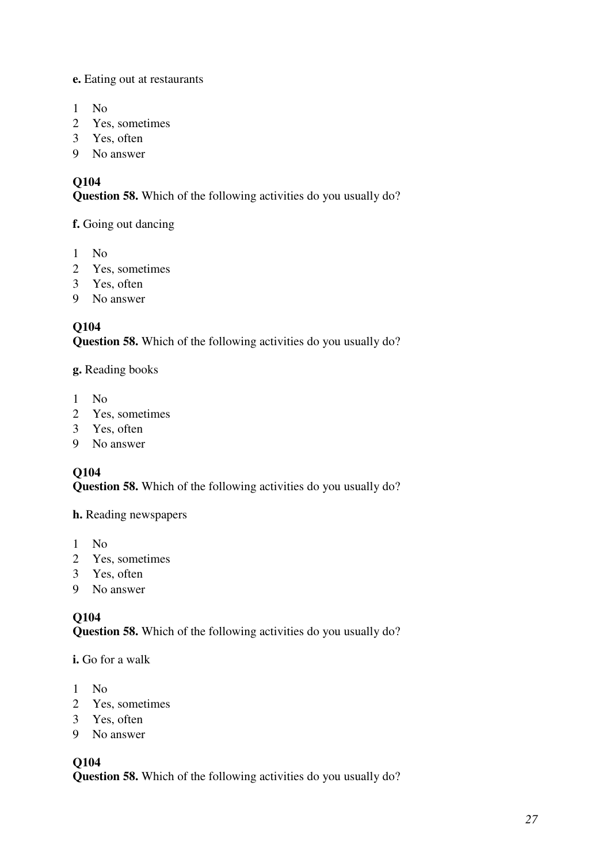**e.** Eating out at restaurants

- 1 No
- 2 Yes, sometimes
- 3 Yes, often
- 9 No answer

## **Q104**

**Question 58.** Which of the following activities do you usually do?

**f.** Going out dancing

- 1 No
- 2 Yes, sometimes
- 3 Yes, often
- 9 No answer

# **Q104**

**Question 58.** Which of the following activities do you usually do?

#### **g.** Reading books

- 1 No
- 2 Yes, sometimes
- 3 Yes, often
- 9 No answer

## **Q104**

**Question 58.** Which of the following activities do you usually do?

**h.** Reading newspapers

- 1 No
- 2 Yes, sometimes
- 3 Yes, often
- 9 No answer

## **Q104**

**Question 58.** Which of the following activities do you usually do?

**i.** Go for a walk

- 1 No
- 2 Yes, sometimes
- 3 Yes, often
- 9 No answer

### **Q104**

**Question 58.** Which of the following activities do you usually do?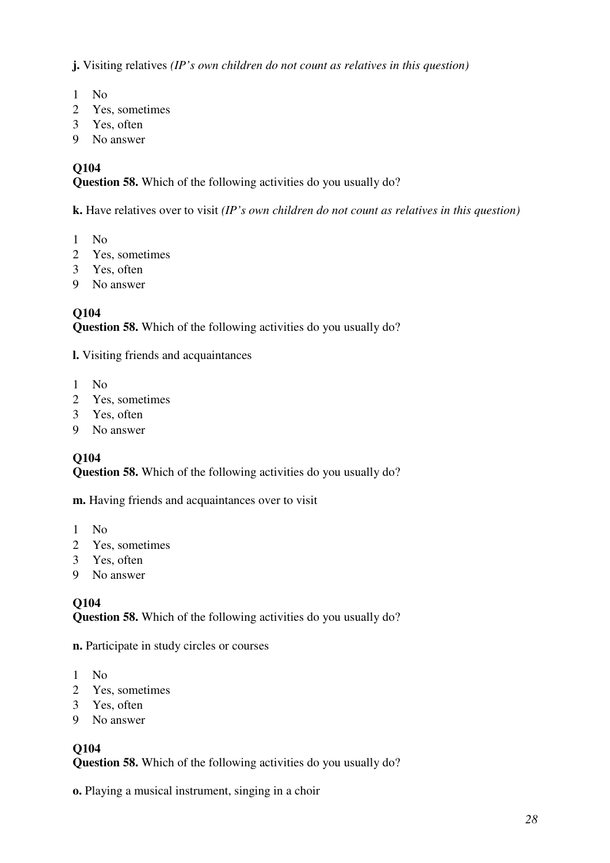**j.** Visiting relatives *(IP's own children do not count as relatives in this question)* 

- 1 No
- 2 Yes, sometimes
- 3 Yes, often
- 9 No answer

#### **Q104**

**Question 58.** Which of the following activities do you usually do?

**k.** Have relatives over to visit *(IP's own children do not count as relatives in this question)* 

- 1 No
- 2 Yes, sometimes
- 3 Yes, often
- 9 No answer

#### **Q104**

**Question 58.** Which of the following activities do you usually do?

**l.** Visiting friends and acquaintances

- 1 No
- 2 Yes, sometimes
- 3 Yes, often
- 9 No answer

#### **Q104**

**Question 58.** Which of the following activities do you usually do?

**m.** Having friends and acquaintances over to visit

- 1 No
- 2 Yes, sometimes
- 3 Yes, often
- 9 No answer

#### **Q104**

**Question 58.** Which of the following activities do you usually do?

**n.** Participate in study circles or courses

- 1 No
- 2 Yes, sometimes
- 3 Yes, often
- 9 No answer

### **Q104**

**Question 58.** Which of the following activities do you usually do?

**o.** Playing a musical instrument, singing in a choir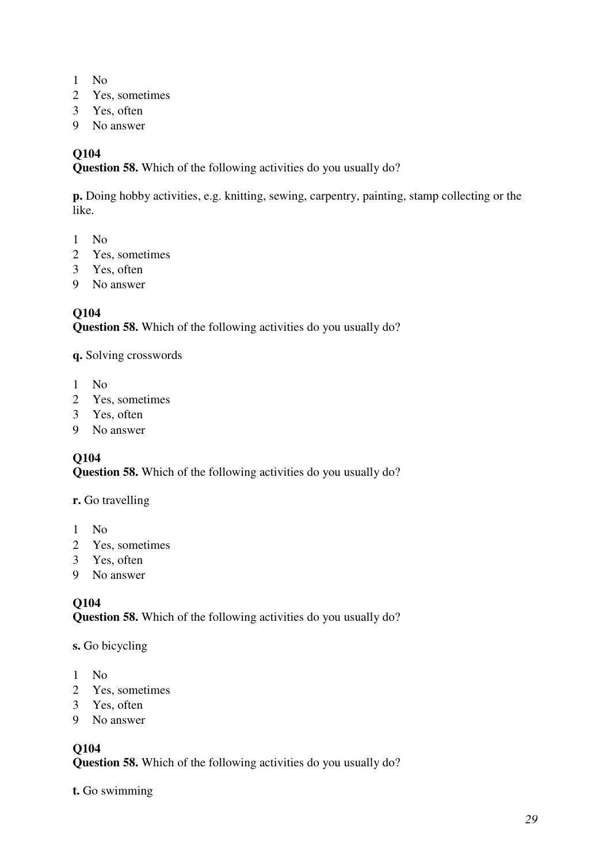- 1 No
- 2 Yes, sometimes
- 3 Yes, often
- 9 No answer

**Question 58.** Which of the following activities do you usually do?

**p.** Doing hobby activities, e.g. knitting, sewing, carpentry, painting, stamp collecting or the like.

- 1 No
- 2 Yes, sometimes
- 3 Yes, often
- 9 No answer

#### **Q104**

**Question 58.** Which of the following activities do you usually do?

**q.** Solving crosswords

- 1 No
- 2 Yes, sometimes
- 3 Yes, often
- 9 No answer

#### **Q104**

**Question 58.** Which of the following activities do you usually do?

#### **r.** Go travelling

- 1 No
- 2 Yes, sometimes
- 3 Yes, often
- 9 No answer

#### **Q104**

**Question 58.** Which of the following activities do you usually do?

#### **s.** Go bicycling

- 1 No
- 2 Yes, sometimes
- 3 Yes, often
- 9 No answer

## **Q104**

**Question 58.** Which of the following activities do you usually do?

**t.** Go swimming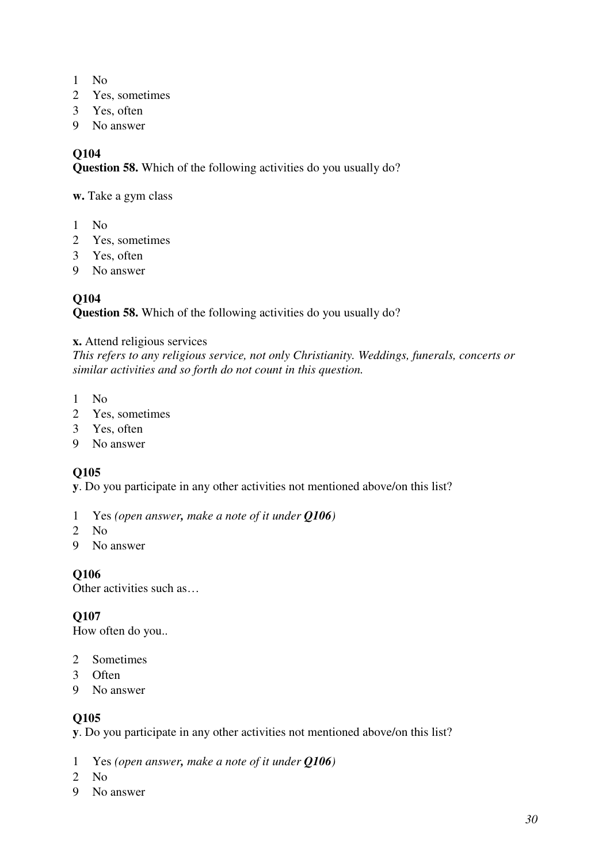- 1 No
- 2 Yes, sometimes
- 3 Yes, often
- 9 No answer

**Question 58.** Which of the following activities do you usually do?

**w.** Take a gym class

- 1 No
- 2 Yes, sometimes
- 3 Yes, often
- 9 No answer

### **Q104**

**Question 58.** Which of the following activities do you usually do?

#### **x.** Attend religious services

*This refers to any religious service, not only Christianity. Weddings, funerals, concerts or similar activities and so forth do not count in this question.* 

- 1 No
- 2 Yes, sometimes
- 3 Yes, often
- 9 No answer

### **Q105**

**y**. Do you participate in any other activities not mentioned above/on this list?

- 1 Yes *(open answer, make a note of it under Q106)*
- 2 No
- 9 No answer

**Q106** 

Other activities such as…

**Q107** 

How often do you..

- 2 Sometimes
- 3 Often
- 9 No answer

#### **Q105**

**y**. Do you participate in any other activities not mentioned above/on this list?

- 1 Yes *(open answer, make a note of it under Q106)*
- 2 No
- 9 No answer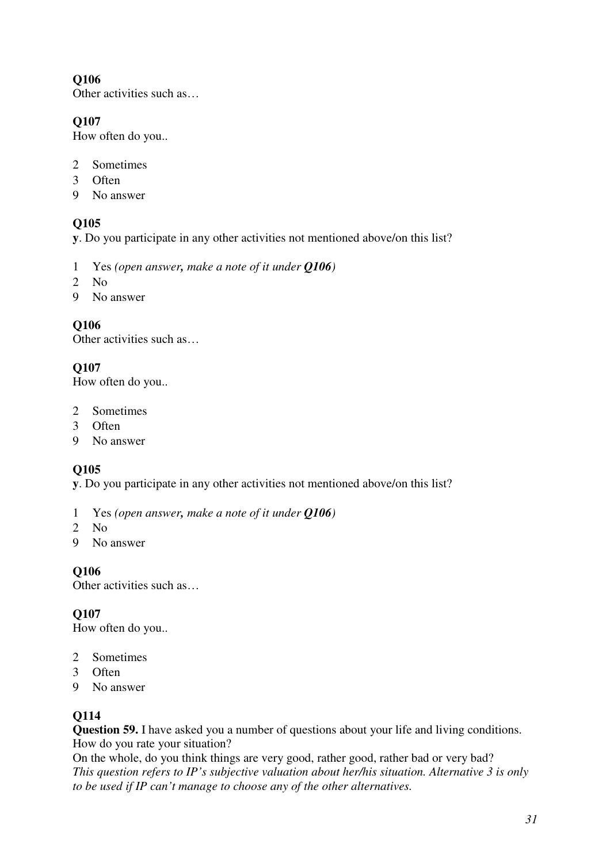Other activities such as…

### **Q107**

How often do you..

- 2 Sometimes
- 3 Often
- 9 No answer

### **Q105**

**y**. Do you participate in any other activities not mentioned above/on this list?

- 1 Yes *(open answer, make a note of it under Q106)*
- 2 No
- 9 No answer

### **Q106**

Other activities such as…

### **Q107**

How often do you..

- 2 Sometimes
- 3 Often
- 9 No answer

### **Q105**

**y**. Do you participate in any other activities not mentioned above/on this list?

- 1 Yes *(open answer, make a note of it under Q106)*
- 2 No
- 9 No answer

**Q106** 

Other activities such as…

### **Q107**

How often do you..

- 2 Sometimes
- 3 Often
- 9 No answer

### **Q114**

**Question 59.** I have asked you a number of questions about your life and living conditions. How do you rate your situation?

On the whole, do you think things are very good, rather good, rather bad or very bad? *This question refers to IP's subjective valuation about her/his situation. Alternative 3 is only to be used if IP can't manage to choose any of the other alternatives.*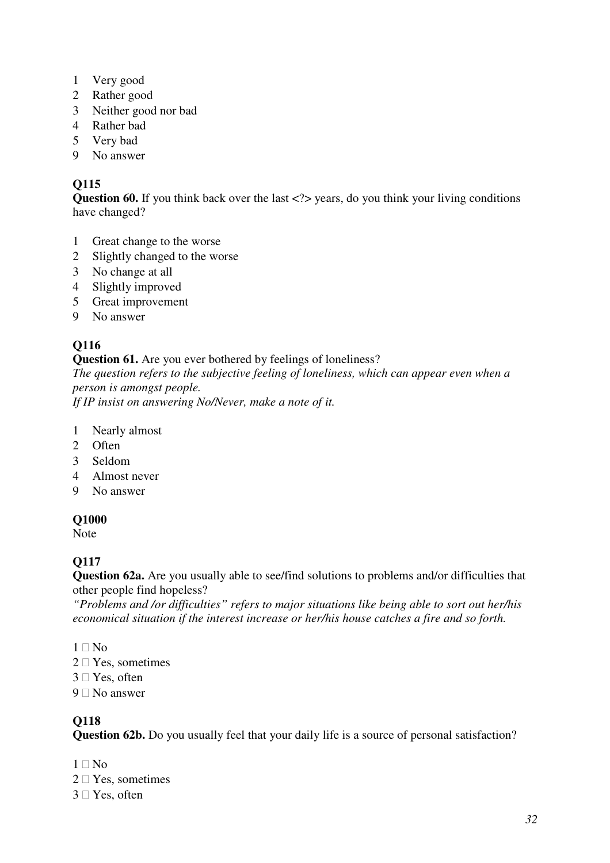- 1 Very good
- 2 Rather good
- 3 Neither good nor bad
- 4 Rather bad
- 5 Very bad
- 9 No answer

**Question 60.** If you think back over the last <?> years, do you think your living conditions have changed?

- 1 Great change to the worse
- 2 Slightly changed to the worse
- 3 No change at all
- 4 Slightly improved
- 5 Great improvement
- 9 No answer

# **Q116**

#### **Question 61.** Are you ever bothered by feelings of loneliness?

*The question refers to the subjective feeling of loneliness, which can appear even when a person is amongst people.* 

*If IP insist on answering No/Never, make a note of it.*

- 1 Nearly almost
- 2 Often
- 3 Seldom
- 4 Almost never
- 9 No answer

### **Q1000**

Note

## **Q117**

**Question 62a.** Are you usually able to see/find solutions to problems and/or difficulties that other people find hopeless?

*"Problems and /or difficulties" refers to major situations like being able to sort out her/his economical situation if the interest increase or her/his house catches a fire and so forth.* 

- 1 No
- 2 Yes, sometimes
- 3 Yes, often
- 9 No answer

## **Q118**

**Question 62b.** Do you usually feel that your daily life is a source of personal satisfaction?

- 1 No
- 2 Yes, sometimes
- 3 Yes, often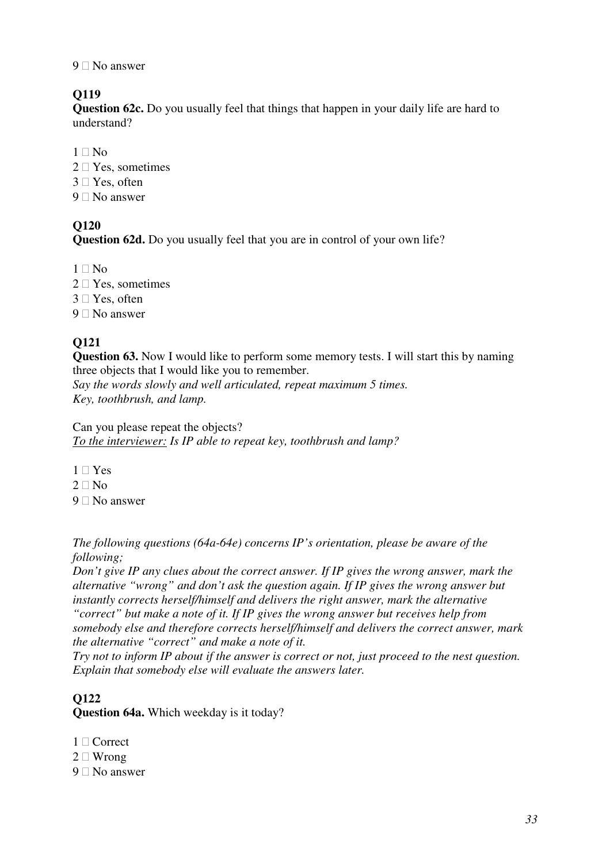#### 9 No answer

### **Q119**

**Question 62c.** Do you usually feel that things that happen in your daily life are hard to understand?

- 1 No
- 2 Yes, sometimes
- 3 Yes, often
- 9 No answer

### **Q120**

**Question 62d.** Do you usually feel that you are in control of your own life?

- 1 No
- 2 Yes, sometimes
- 3 Yes, often
- 9 No answer

## **Q121**

**Question 63.** Now I would like to perform some memory tests. I will start this by naming three objects that I would like you to remember.

*Say the words slowly and well articulated, repeat maximum 5 times. Key, toothbrush, and lamp.*

Can you please repeat the objects? *To the interviewer: Is IP able to repeat key, toothbrush and lamp?*

- 1 Yes
- 2 No
- 9 No answer

*The following questions (64a-64e) concerns IP's orientation, please be aware of the following;* 

*Don't give IP any clues about the correct answer. If IP gives the wrong answer, mark the alternative "wrong" and don't ask the question again. If IP gives the wrong answer but instantly corrects herself/himself and delivers the right answer, mark the alternative "correct" but make a note of it. If IP gives the wrong answer but receives help from somebody else and therefore corrects herself/himself and delivers the correct answer, mark the alternative "correct" and make a note of it.* 

*Try not to inform IP about if the answer is correct or not, just proceed to the nest question. Explain that somebody else will evaluate the answers later.*

### **Q122**

**Question 64a.** Which weekday is it today?

- 1 Correct
- 2 Wrong
- 9 No answer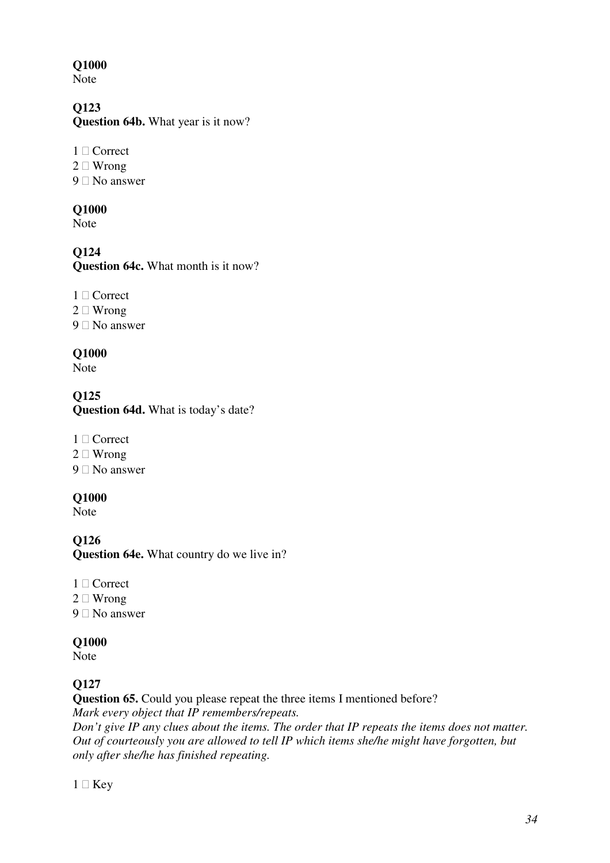Note

## **Q123**

**Question 64b.** What year is it now?

- 1 Correct
- 2 Wrong
- 9 No answer

#### **Q1000**

Note

# **Q124**

**Question 64c.** What month is it now?

- 1 Correct
- 2 Wrong
- 9 No answer

### **Q1000**

Note

**Q125 Question 64d.** What is today's date?

- 1 Correct
- 2 Wrong
- 9 No answer

### **Q1000**

Note

**Q126 Question 64e.** What country do we live in?

- 1 Correct
- 2 Wrong
- 9 No answer

### **Q1000**

Note

# **Q127**

**Question 65.** Could you please repeat the three items I mentioned before? *Mark every object that IP remembers/repeats.* 

*Don't give IP any clues about the items. The order that IP repeats the items does not matter. Out of courteously you are allowed to tell IP which items she/he might have forgotten, but only after she/he has finished repeating.*

1 Key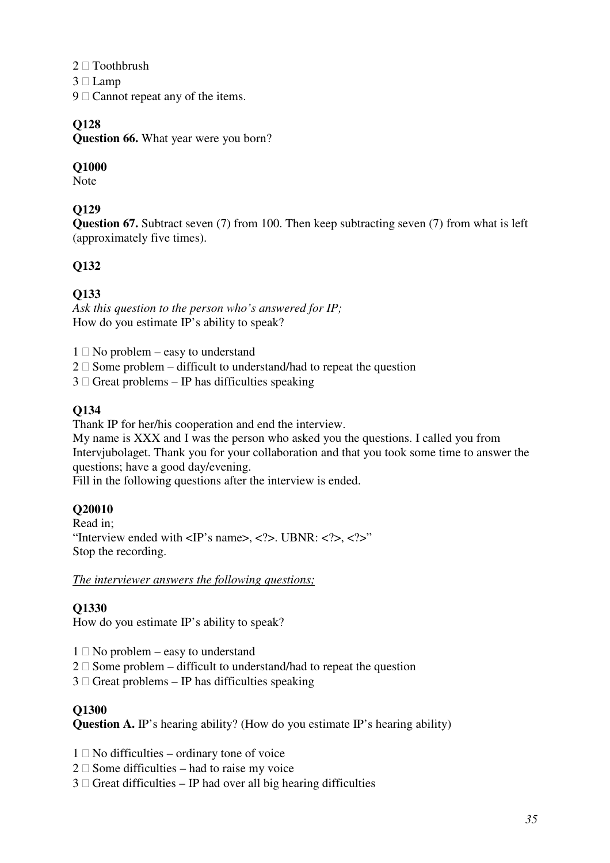- 2 Toothbrush
- 3 Lamp
- 9 Cannot repeat any of the items.

**Question 66.** What year were you born?

### **Q1000**

Note

## **Q129**

**Question 67.** Subtract seven (7) from 100. Then keep subtracting seven (7) from what is left (approximately five times).

## **Q132**

### **Q133**

*Ask this question to the person who's answered for IP;*  How do you estimate IP's ability to speak?

- 1 No problem easy to understand
- 2 Some problem difficult to understand/had to repeat the question
- 3 Great problems IP has difficulties speaking

### **Q134**

Thank IP for her/his cooperation and end the interview.

My name is XXX and I was the person who asked you the questions. I called you from Intervjubolaget. Thank you for your collaboration and that you took some time to answer the questions; have a good day/evening.

Fill in the following questions after the interview is ended.

### **Q20010**

Read in; "Interview ended with  $\langle IP \rangle$ 's name $\langle \langle \rangle$ ,  $\langle \rangle$ . UBNR:  $\langle \rangle$ ,  $\langle \rangle$ ,  $\langle \rangle$ . Stop the recording.

*The interviewer answers the following questions;*

### **Q1330**

How do you estimate IP's ability to speak?

- 1 No problem easy to understand
- 2 Some problem difficult to understand/had to repeat the question
- 3 Great problems IP has difficulties speaking

#### **Q1300**

**Question A.** IP's hearing ability? (How do you estimate IP's hearing ability)

- 1 No difficulties ordinary tone of voice
- 2 Some difficulties had to raise my voice
- 3 Great difficulties IP had over all big hearing difficulties